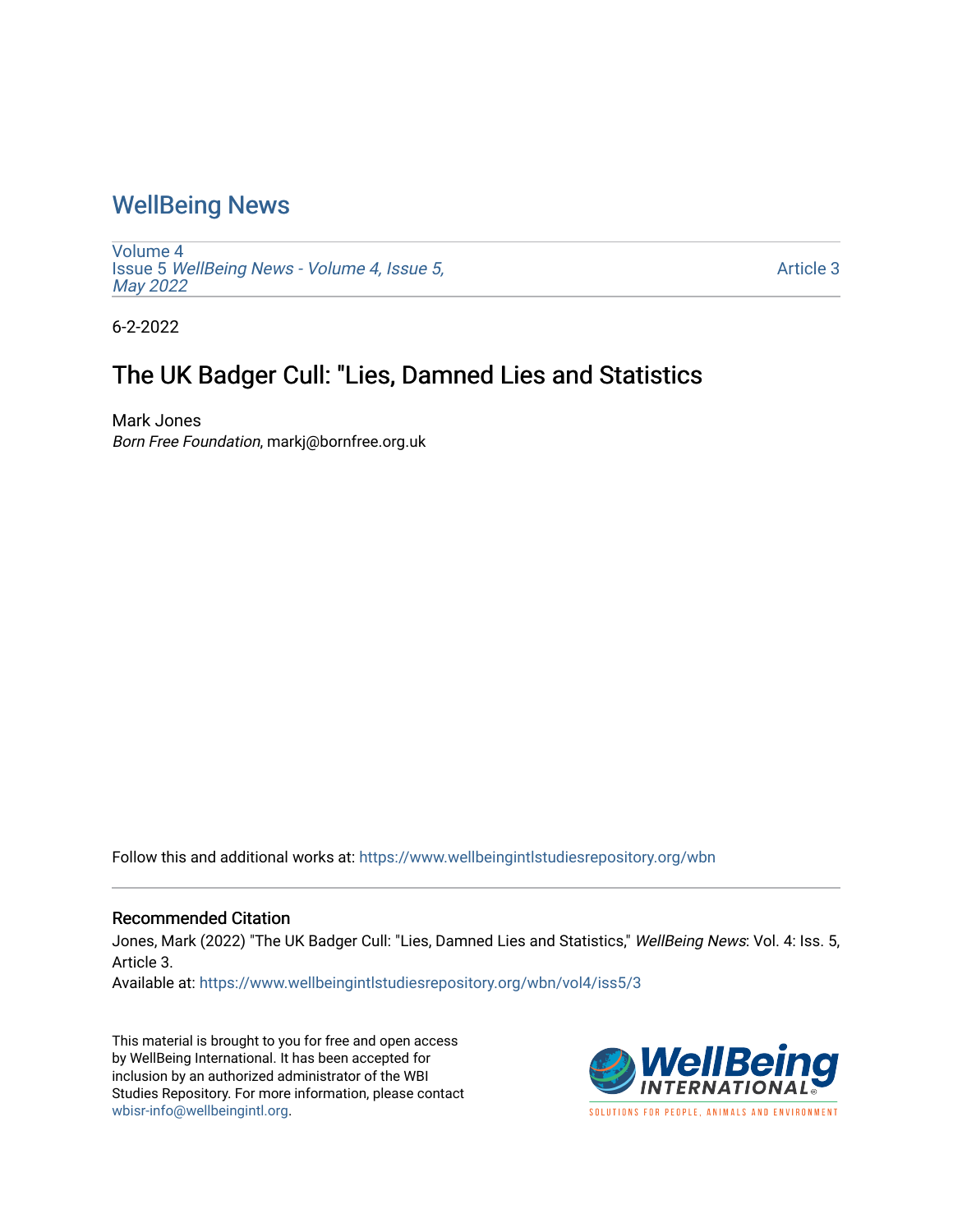### [WellBeing News](https://www.wellbeingintlstudiesrepository.org/wbn)

[Volume 4](https://www.wellbeingintlstudiesrepository.org/wbn/vol4) Issue 5 [WellBeing News - Volume 4, Issue 5,](https://www.wellbeingintlstudiesrepository.org/wbn/vol4/iss5) [May 2022](https://www.wellbeingintlstudiesrepository.org/wbn/vol4/iss5)

[Article 3](https://www.wellbeingintlstudiesrepository.org/wbn/vol4/iss5/3) 

6-2-2022

## The UK Badger Cull: "Lies, Damned Lies and Statistics

Mark Jones Born Free Foundation, markj@bornfree.org.uk

Follow this and additional works at: [https://www.wellbeingintlstudiesrepository.org/wbn](https://www.wellbeingintlstudiesrepository.org/wbn?utm_source=www.wellbeingintlstudiesrepository.org%2Fwbn%2Fvol4%2Fiss5%2F3&utm_medium=PDF&utm_campaign=PDFCoverPages)

#### Recommended Citation

Jones, Mark (2022) "The UK Badger Cull: "Lies, Damned Lies and Statistics," WellBeing News: Vol. 4: Iss. 5, Article 3.

Available at: [https://www.wellbeingintlstudiesrepository.org/wbn/vol4/iss5/3](https://www.wellbeingintlstudiesrepository.org/wbn/vol4/iss5/3?utm_source=www.wellbeingintlstudiesrepository.org%2Fwbn%2Fvol4%2Fiss5%2F3&utm_medium=PDF&utm_campaign=PDFCoverPages)

This material is brought to you for free and open access by WellBeing International. It has been accepted for inclusion by an authorized administrator of the WBI Studies Repository. For more information, please contact [wbisr-info@wellbeingintl.org](mailto:wbisr-info@wellbeingintl.org).

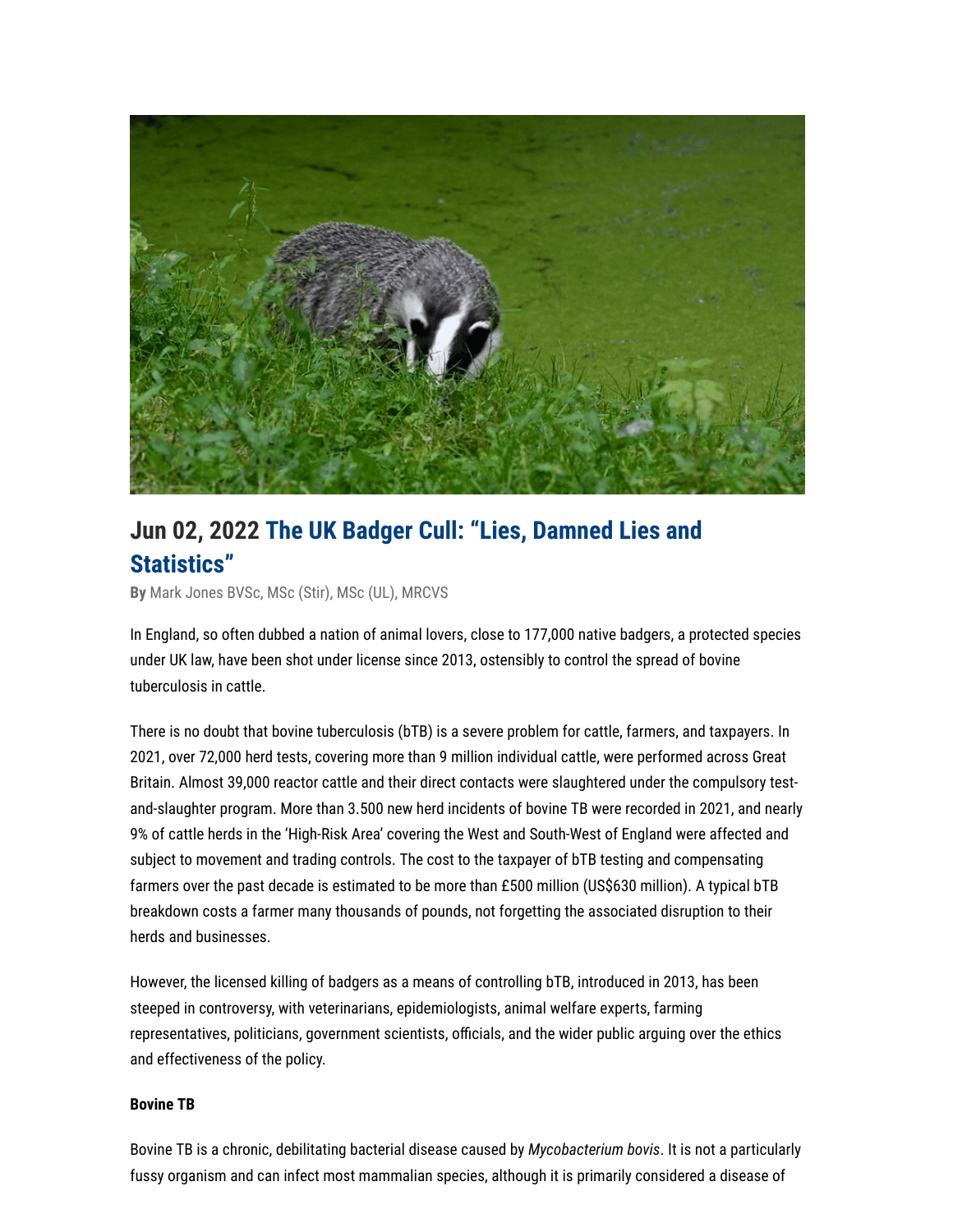

# **Jun 02, 2022 The UK Badger Cull: "Lies, Damned Lies and Statistics"**

**By** [Mark Jones BVSc, MSc \(Stir\), MSc \(UL\), MRCVS](https://wellbeingintl.org/author/mark-jones-bvsc-msc-stir-msc-ul-mrcvs/)

In England, so often dubbed a nation of animal lovers, close to 177,000 native badgers, a protected species under UK law, have been shot under license since 2013, ostensibly to control the spread of bovine tuberculosis in cattle.

There is no doubt that bovine tuberculosis (bTB) is a severe problem for cattle, farmers, and taxpayers. In 2021, over 72,000 herd tests, covering more than 9 million individual cattle, were performed across Great Britain. Almost 39,000 reactor cattle and their direct contacts were slaughtered under the compulsory testand-slaughter program. More than 3.500 new herd incidents of bovine TB were recorded in 2021, and nearly 9% of cattle herds in the 'High-Risk Area' covering the West and South-West of England were affected and subject to movement and trading controls. The cost to the taxpayer of bTB testing and compensating farmers over the past decade is estimated to be more than £500 million (US\$630 million). A typical bTB breakdown costs a farmer many thousands of pounds, not forgetting the associated disruption to their herds and businesses.

However, the licensed killing of badgers as a means of controlling bTB, introduced in 2013, has been steeped in controversy, with veterinarians, epidemiologists, animal welfare experts, farming representatives, politicians, government scientists, officials, and the wider public arguing over the ethics and effectiveness of the policy.

#### **Bovine TB**

Bovine TB is a chronic, debilitating bacterial disease caused by *Mycobacterium bovis*. It is not a particularly fussy organism and can infect most mammalian species, although it is primarily considered a disease of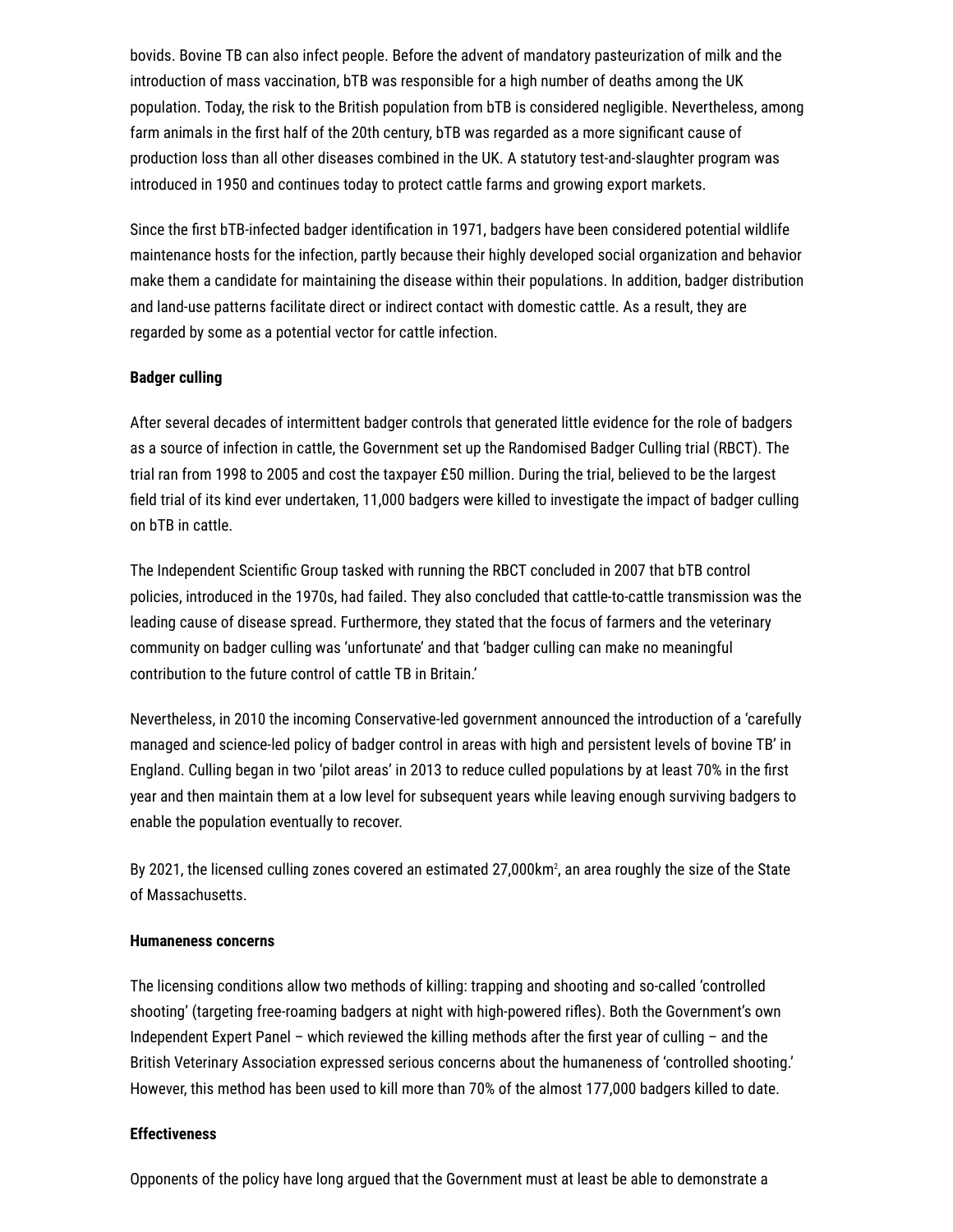bovids. Bovine TB can also infect people. Before the advent of mandatory pasteurization of milk and the introduction of mass vaccination, bTB was responsible for a high number of deaths among the UK population. Today, the risk to the British population from bTB is considered negligible. Nevertheless, among farm animals in the first half of the 20th century, bTB was regarded as a more significant cause of production loss than all other diseases combined in the UK. A statutory test-and-slaughter program was introduced in 1950 and continues today to protect cattle farms and growing export markets.

Since the first bTB-infected badger identification in 1971, badgers have been considered potential wildlife maintenance hosts for the infection, partly because their highly developed social organization and behavior make them a candidate for maintaining the disease within their populations. In addition, badger distribution and land-use patterns facilitate direct or indirect contact with domestic cattle. As a result, they are regarded by some as a potential vector for cattle infection.

#### **Badger culling**

After several decades of intermittent badger controls that generated little evidence for the role of badgers as a source of infection in cattle, the Government set up the Randomised Badger Culling trial (RBCT). The trial ran from 1998 to 2005 and cost the taxpayer £50 million. During the trial, believed to be the largest field trial of its kind ever undertaken, 11,000 badgers were killed to investigate the impact of badger culling on bTB in cattle.

The Independent Scientific Group tasked with running the RBCT concluded in 2007 that bTB control policies, introduced in the 1970s, had failed. They also concluded that cattle-to-cattle transmission was the leading cause of disease spread. Furthermore, they stated that the focus of farmers and the veterinary community on badger culling was 'unfortunate' and that 'badger culling can make no meaningful contribution to the future control of cattle TB in Britain.'

Nevertheless, in 2010 the incoming Conservative-led government announced the introduction of a 'carefully managed and science-led policy of badger control in areas with high and persistent levels of bovine TB' in England. Culling began in two 'pilot areas' in 2013 to reduce culled populations by at least 70% in the first year and then maintain them at a low level for subsequent years while leaving enough surviving badgers to enable the population eventually to recover.

By 2021, the licensed culling zones covered an estimated 27,000km², an area roughly the size of the State of Massachusetts.

#### **Humaneness concerns**

The licensing conditions allow two methods of killing: trapping and shooting and so-called 'controlled shooting' (targeting free-roaming badgers at night with high-powered rifles). Both the Government's own Independent Expert Panel – which reviewed the killing methods after the first year of culling – and the British Veterinary Association expressed serious concerns about the humaneness of 'controlled shooting.' However, this method has been used to kill more than 70% of the almost 177,000 badgers killed to date.

### **Effectiveness**

Opponents of the policy have long argued that the Government must at least be able to demonstrate a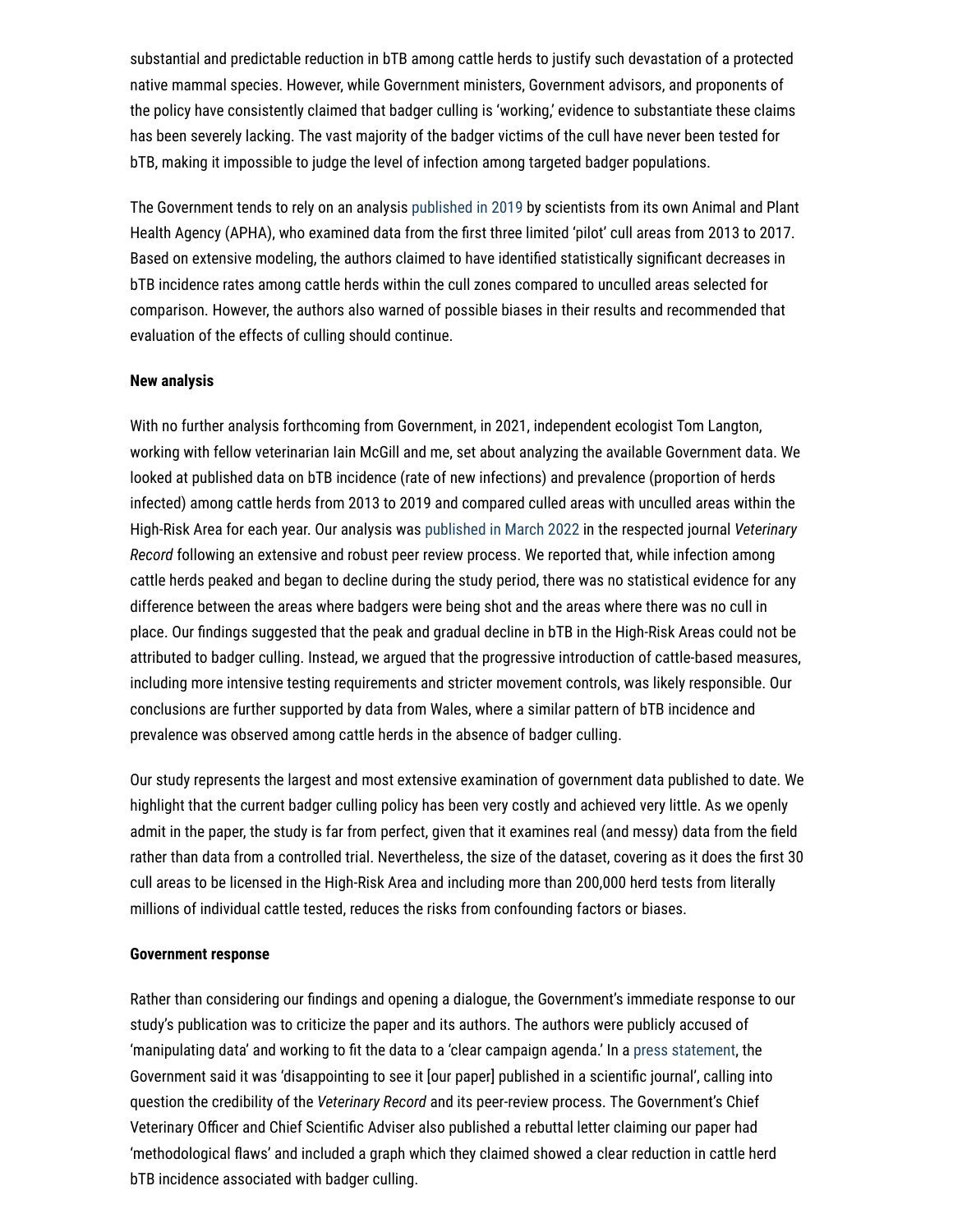substantial and predictable reduction in bTB among cattle herds to justify such devastation of a protected native mammal species. However, while Government ministers, Government advisors, and proponents of the policy have consistently claimed that badger culling is 'working,' evidence to substantiate these claims has been severely lacking. The vast majority of the badger victims of the cull have never been tested for bTB, making it impossible to judge the level of infection among targeted badger populations.

The Government tends to rely on an analysis [published in 2019](https://www.nature.com/articles/s41598-019-49957-6) by scientists from its own Animal and Plant Health Agency (APHA), who examined data from the first three limited 'pilot' cull areas from 2013 to 2017. Based on extensive modeling, the authors claimed to have identified statistically significant decreases in bTB incidence rates among cattle herds within the cull zones compared to unculled areas selected for comparison. However, the authors also warned of possible biases in their results and recommended that evaluation of the effects of culling should continue.

#### **New analysis**

With no further analysis forthcoming from Government, in 2021, independent ecologist Tom Langton, working with fellow veterinarian Iain McGill and me, set about analyzing the available Government data. We looked at published data on bTB incidence (rate of new infections) and prevalence (proportion of herds infected) among cattle herds from 2013 to 2019 and compared culled areas with unculled areas within the High-Risk Area for each year. Our analysis was [published in March 2022](https://bvajournals.onlinelibrary.wiley.com/doi/10.1002/vetr.1384) in the respected journal *Veterinary Record* following an extensive and robust peer review process. We reported that, while infection among cattle herds peaked and began to decline during the study period, there was no statistical evidence for any difference between the areas where badgers were being shot and the areas where there was no cull in place. Our findings suggested that the peak and gradual decline in bTB in the High-Risk Areas could not be attributed to badger culling. Instead, we argued that the progressive introduction of cattle-based measures, including more intensive testing requirements and stricter movement controls, was likely responsible. Our conclusions are further supported by data from Wales, where a similar pattern of bTB incidence and prevalence was observed among cattle herds in the absence of badger culling.

Our study represents the largest and most extensive examination of government data published to date. We highlight that the current badger culling policy has been very costly and achieved very little. As we openly admit in the paper, the study is far from perfect, given that it examines real (and messy) data from the field rather than data from a controlled trial. Nevertheless, the size of the dataset, covering as it does the first 30 cull areas to be licensed in the High-Risk Area and including more than 200,000 herd tests from literally millions of individual cattle tested, reduces the risks from confounding factors or biases.

#### **Government response**

Rather than considering our findings and opening a dialogue, the Government's immediate response to our study's publication was to criticize the paper and its authors. The authors were publicly accused of 'manipulating data' and working to fit the data to a 'clear campaign agenda.' In a [press statement,](https://deframedia.blog.gov.uk/2022/03/18/rebuttal-of-claims-on-tb-cull-effectiveness/) the Government said it was 'disappointing to see it [our paper] published in a scientific journal', calling into question the credibility of the *Veterinary Record* and its peer-review process. The Government's Chief Veterinary Officer and Chief Scientific Adviser also published a rebuttal letter claiming our paper had 'methodological flaws' and included a graph which they claimed showed a clear reduction in cattle herd bTB incidence associated with badger culling.